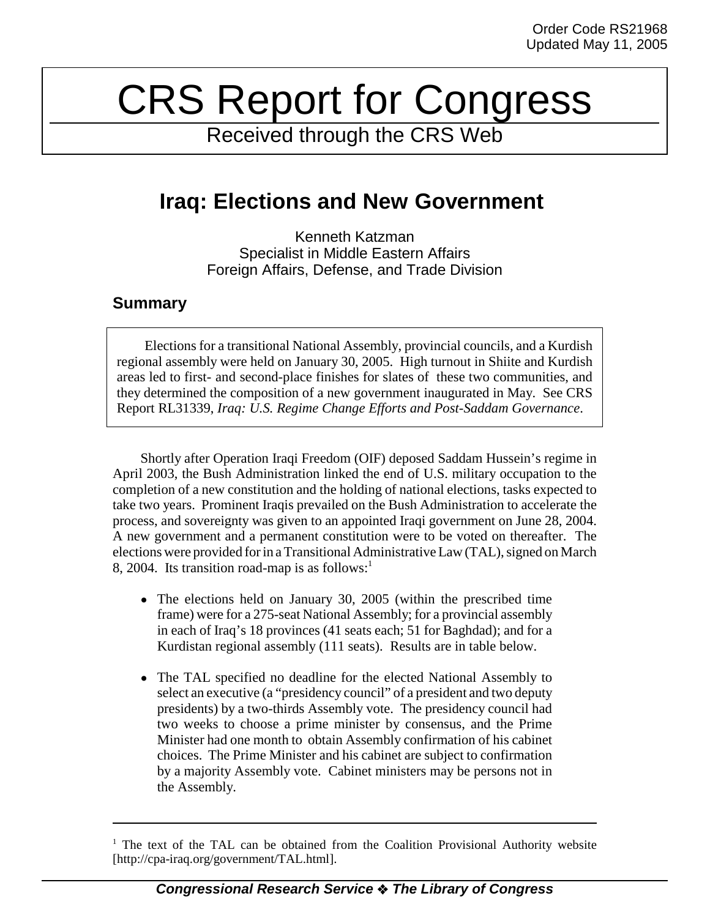# CRS Report for Congress

Received through the CRS Web

# **Iraq: Elections and New Government**

Kenneth Katzman Specialist in Middle Eastern Affairs Foreign Affairs, Defense, and Trade Division

### **Summary**

Elections for a transitional National Assembly, provincial councils, and a Kurdish regional assembly were held on January 30, 2005. High turnout in Shiite and Kurdish areas led to first- and second-place finishes for slates of these two communities, and they determined the composition of a new government inaugurated in May. See CRS Report RL31339, *Iraq: U.S. Regime Change Efforts and Post-Saddam Governance*.

Shortly after Operation Iraqi Freedom (OIF) deposed Saddam Hussein's regime in April 2003, the Bush Administration linked the end of U.S. military occupation to the completion of a new constitution and the holding of national elections, tasks expected to take two years. Prominent Iraqis prevailed on the Bush Administration to accelerate the process, and sovereignty was given to an appointed Iraqi government on June 28, 2004. A new government and a permanent constitution were to be voted on thereafter. The elections were provided for in a Transitional Administrative Law (TAL), signed on March 8, 2004. Its transition road-map is as follows:<sup>1</sup>

- The elections held on January 30, 2005 (within the prescribed time frame) were for a 275-seat National Assembly; for a provincial assembly in each of Iraq's 18 provinces (41 seats each; 51 for Baghdad); and for a Kurdistan regional assembly (111 seats). Results are in table below.
- The TAL specified no deadline for the elected National Assembly to select an executive (a "presidency council" of a president and two deputy presidents) by a two-thirds Assembly vote. The presidency council had two weeks to choose a prime minister by consensus, and the Prime Minister had one month to obtain Assembly confirmation of his cabinet choices. The Prime Minister and his cabinet are subject to confirmation by a majority Assembly vote. Cabinet ministers may be persons not in the Assembly.

<sup>&</sup>lt;sup>1</sup> The text of the TAL can be obtained from the Coalition Provisional Authority website [http://cpa-iraq.org/government/TAL.html].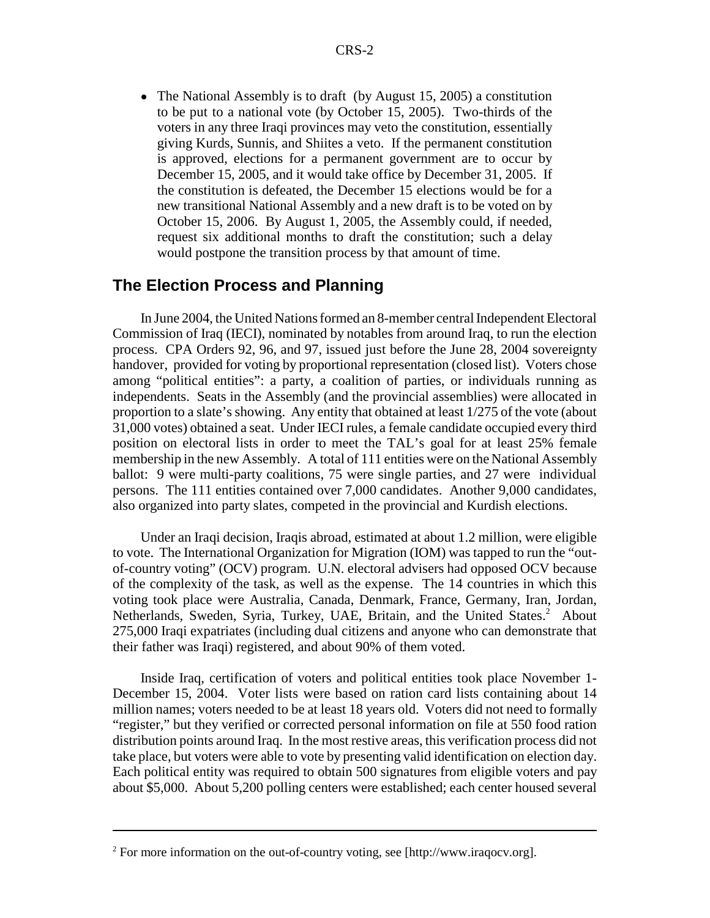• The National Assembly is to draft (by August 15, 2005) a constitution to be put to a national vote (by October 15, 2005). Two-thirds of the voters in any three Iraqi provinces may veto the constitution, essentially giving Kurds, Sunnis, and Shiites a veto. If the permanent constitution is approved, elections for a permanent government are to occur by December 15, 2005, and it would take office by December 31, 2005. If the constitution is defeated, the December 15 elections would be for a new transitional National Assembly and a new draft is to be voted on by October 15, 2006. By August 1, 2005, the Assembly could, if needed, request six additional months to draft the constitution; such a delay would postpone the transition process by that amount of time.

#### **The Election Process and Planning**

In June 2004, the United Nations formed an 8-member central Independent Electoral Commission of Iraq (IECI), nominated by notables from around Iraq, to run the election process. CPA Orders 92, 96, and 97, issued just before the June 28, 2004 sovereignty handover, provided for voting by proportional representation (closed list). Voters chose among "political entities": a party, a coalition of parties, or individuals running as independents. Seats in the Assembly (and the provincial assemblies) were allocated in proportion to a slate's showing. Any entity that obtained at least 1/275 of the vote (about 31,000 votes) obtained a seat. Under IECI rules, a female candidate occupied every third position on electoral lists in order to meet the TAL's goal for at least 25% female membership in the new Assembly. A total of 111 entities were on the National Assembly ballot: 9 were multi-party coalitions, 75 were single parties, and 27 were individual persons. The 111 entities contained over 7,000 candidates. Another 9,000 candidates, also organized into party slates, competed in the provincial and Kurdish elections.

Under an Iraqi decision, Iraqis abroad, estimated at about 1.2 million, were eligible to vote. The International Organization for Migration (IOM) was tapped to run the "outof-country voting" (OCV) program. U.N. electoral advisers had opposed OCV because of the complexity of the task, as well as the expense. The 14 countries in which this voting took place were Australia, Canada, Denmark, France, Germany, Iran, Jordan, Netherlands, Sweden, Syria, Turkey, UAE, Britain, and the United States.<sup>2</sup> About 275,000 Iraqi expatriates (including dual citizens and anyone who can demonstrate that their father was Iraqi) registered, and about 90% of them voted.

Inside Iraq, certification of voters and political entities took place November 1- December 15, 2004. Voter lists were based on ration card lists containing about 14 million names; voters needed to be at least 18 years old. Voters did not need to formally "register," but they verified or corrected personal information on file at 550 food ration distribution points around Iraq. In the most restive areas, this verification process did not take place, but voters were able to vote by presenting valid identification on election day. Each political entity was required to obtain 500 signatures from eligible voters and pay about \$5,000. About 5,200 polling centers were established; each center housed several

<sup>&</sup>lt;sup>2</sup> For more information on the out-of-country voting, see [http://www.iraqocv.org].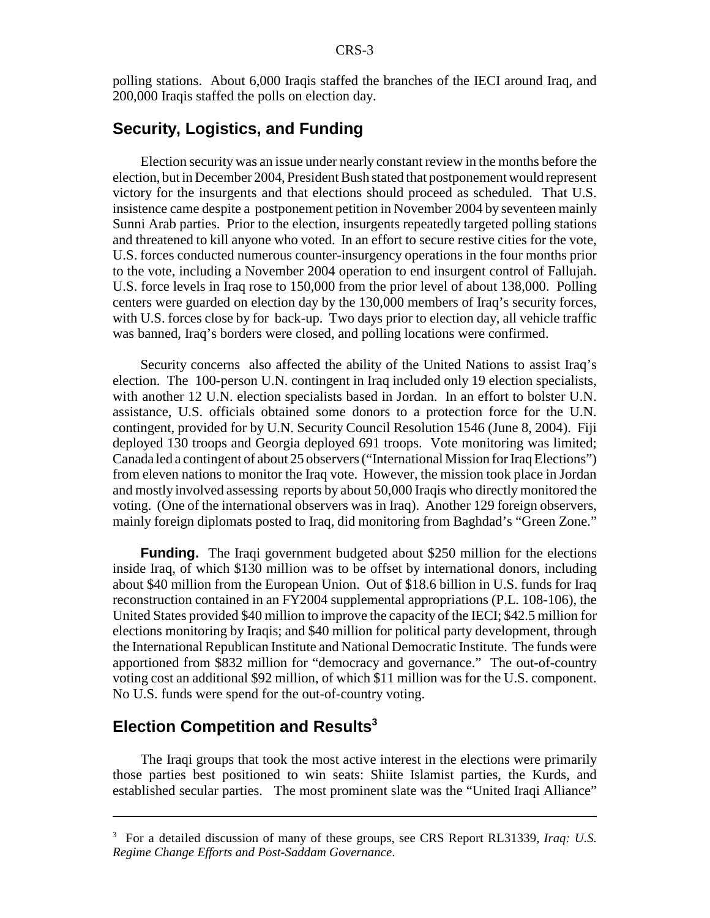polling stations. About 6,000 Iraqis staffed the branches of the IECI around Iraq, and 200,000 Iraqis staffed the polls on election day.

#### **Security, Logistics, and Funding**

Election security was an issue under nearly constant review in the months before the election, but in December 2004, President Bush stated that postponement would represent victory for the insurgents and that elections should proceed as scheduled. That U.S. insistence came despite a postponement petition in November 2004 by seventeen mainly Sunni Arab parties. Prior to the election, insurgents repeatedly targeted polling stations and threatened to kill anyone who voted. In an effort to secure restive cities for the vote, U.S. forces conducted numerous counter-insurgency operations in the four months prior to the vote, including a November 2004 operation to end insurgent control of Fallujah. U.S. force levels in Iraq rose to 150,000 from the prior level of about 138,000. Polling centers were guarded on election day by the 130,000 members of Iraq's security forces, with U.S. forces close by for back-up. Two days prior to election day, all vehicle traffic was banned, Iraq's borders were closed, and polling locations were confirmed.

Security concerns also affected the ability of the United Nations to assist Iraq's election. The 100-person U.N. contingent in Iraq included only 19 election specialists, with another 12 U.N. election specialists based in Jordan. In an effort to bolster U.N. assistance, U.S. officials obtained some donors to a protection force for the U.N. contingent, provided for by U.N. Security Council Resolution 1546 (June 8, 2004). Fiji deployed 130 troops and Georgia deployed 691 troops. Vote monitoring was limited; Canada led a contingent of about 25 observers ("International Mission for Iraq Elections") from eleven nations to monitor the Iraq vote. However, the mission took place in Jordan and mostly involved assessing reports by about 50,000 Iraqis who directly monitored the voting. (One of the international observers was in Iraq). Another 129 foreign observers, mainly foreign diplomats posted to Iraq, did monitoring from Baghdad's "Green Zone."

**Funding.** The Iraqi government budgeted about \$250 million for the elections inside Iraq, of which \$130 million was to be offset by international donors, including about \$40 million from the European Union. Out of \$18.6 billion in U.S. funds for Iraq reconstruction contained in an FY2004 supplemental appropriations (P.L. 108-106), the United States provided \$40 million to improve the capacity of the IECI; \$42.5 million for elections monitoring by Iraqis; and \$40 million for political party development, through the International Republican Institute and National Democratic Institute. The funds were apportioned from \$832 million for "democracy and governance." The out-of-country voting cost an additional \$92 million, of which \$11 million was for the U.S. component. No U.S. funds were spend for the out-of-country voting.

## **Election Competition and Results<sup>3</sup>**

The Iraqi groups that took the most active interest in the elections were primarily those parties best positioned to win seats: Shiite Islamist parties, the Kurds, and established secular parties. The most prominent slate was the "United Iraqi Alliance"

<sup>3</sup> For a detailed discussion of many of these groups, see CRS Report RL31339, *Iraq: U.S. Regime Change Efforts and Post-Saddam Governance*.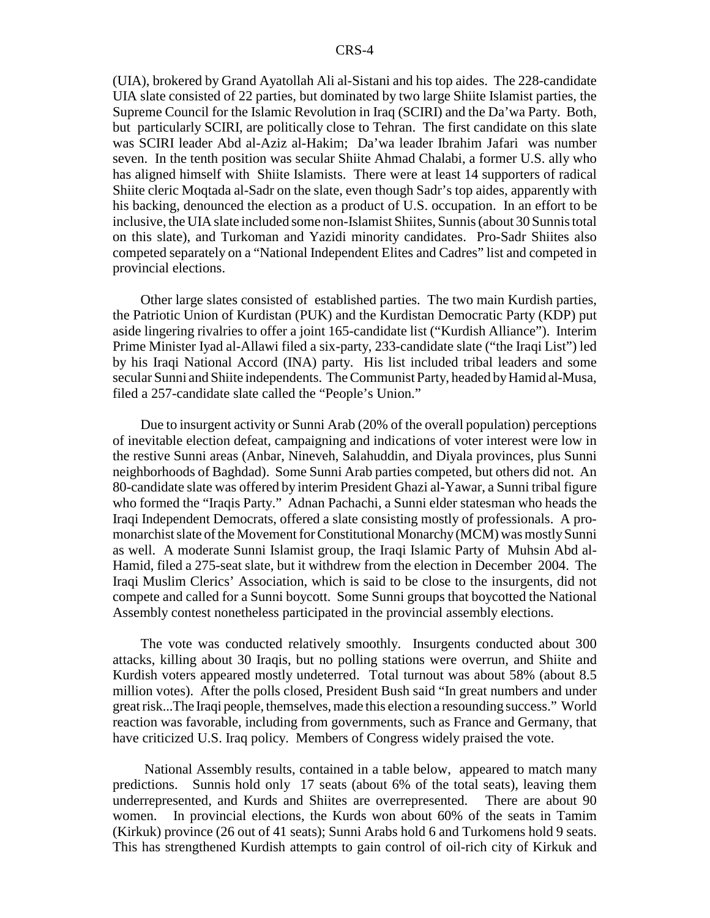(UIA), brokered by Grand Ayatollah Ali al-Sistani and his top aides. The 228-candidate UIA slate consisted of 22 parties, but dominated by two large Shiite Islamist parties, the Supreme Council for the Islamic Revolution in Iraq (SCIRI) and the Da'wa Party. Both, but particularly SCIRI, are politically close to Tehran. The first candidate on this slate was SCIRI leader Abd al-Aziz al-Hakim; Da'wa leader Ibrahim Jafari was number seven. In the tenth position was secular Shiite Ahmad Chalabi, a former U.S. ally who has aligned himself with Shiite Islamists. There were at least 14 supporters of radical Shiite cleric Moqtada al-Sadr on the slate, even though Sadr's top aides, apparently with his backing, denounced the election as a product of U.S. occupation. In an effort to be inclusive, the UIA slate included some non-Islamist Shiites, Sunnis (about 30 Sunnis total on this slate), and Turkoman and Yazidi minority candidates. Pro-Sadr Shiites also competed separately on a "National Independent Elites and Cadres" list and competed in provincial elections.

Other large slates consisted of established parties. The two main Kurdish parties, the Patriotic Union of Kurdistan (PUK) and the Kurdistan Democratic Party (KDP) put aside lingering rivalries to offer a joint 165-candidate list ("Kurdish Alliance"). Interim Prime Minister Iyad al-Allawi filed a six-party, 233-candidate slate ("the Iraqi List") led by his Iraqi National Accord (INA) party. His list included tribal leaders and some secular Sunni and Shiite independents. The Communist Party, headed by Hamid al-Musa, filed a 257-candidate slate called the "People's Union."

Due to insurgent activity or Sunni Arab (20% of the overall population) perceptions of inevitable election defeat, campaigning and indications of voter interest were low in the restive Sunni areas (Anbar, Nineveh, Salahuddin, and Diyala provinces, plus Sunni neighborhoods of Baghdad). Some Sunni Arab parties competed, but others did not. An 80-candidate slate was offered by interim President Ghazi al-Yawar, a Sunni tribal figure who formed the "Iraqis Party." Adnan Pachachi, a Sunni elder statesman who heads the Iraqi Independent Democrats, offered a slate consisting mostly of professionals. A promonarchist slate of the Movement for Constitutional Monarchy (MCM) was mostly Sunni as well. A moderate Sunni Islamist group, the Iraqi Islamic Party of Muhsin Abd al-Hamid, filed a 275-seat slate, but it withdrew from the election in December 2004. The Iraqi Muslim Clerics' Association, which is said to be close to the insurgents, did not compete and called for a Sunni boycott. Some Sunni groups that boycotted the National Assembly contest nonetheless participated in the provincial assembly elections.

The vote was conducted relatively smoothly. Insurgents conducted about 300 attacks, killing about 30 Iraqis, but no polling stations were overrun, and Shiite and Kurdish voters appeared mostly undeterred. Total turnout was about 58% (about 8.5 million votes). After the polls closed, President Bush said "In great numbers and under great risk...The Iraqi people, themselves, made this election a resounding success." World reaction was favorable, including from governments, such as France and Germany, that have criticized U.S. Iraq policy. Members of Congress widely praised the vote.

 National Assembly results, contained in a table below, appeared to match many predictions. Sunnis hold only 17 seats (about 6% of the total seats), leaving them underrepresented, and Kurds and Shiites are overrepresented. There are about 90 women. In provincial elections, the Kurds won about 60% of the seats in Tamim (Kirkuk) province (26 out of 41 seats); Sunni Arabs hold 6 and Turkomens hold 9 seats. This has strengthened Kurdish attempts to gain control of oil-rich city of Kirkuk and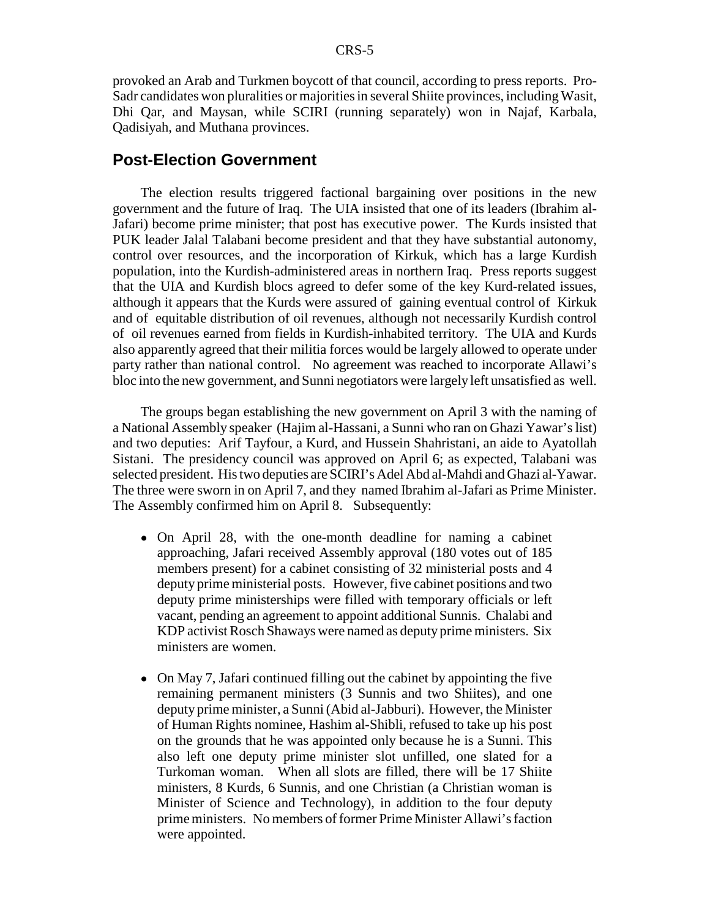provoked an Arab and Turkmen boycott of that council, according to press reports. Pro-Sadr candidates won pluralities or majorities in several Shiite provinces, including Wasit, Dhi Qar, and Maysan, while SCIRI (running separately) won in Najaf, Karbala, Qadisiyah, and Muthana provinces.

#### **Post-Election Government**

The election results triggered factional bargaining over positions in the new government and the future of Iraq. The UIA insisted that one of its leaders (Ibrahim al-Jafari) become prime minister; that post has executive power. The Kurds insisted that PUK leader Jalal Talabani become president and that they have substantial autonomy, control over resources, and the incorporation of Kirkuk, which has a large Kurdish population, into the Kurdish-administered areas in northern Iraq. Press reports suggest that the UIA and Kurdish blocs agreed to defer some of the key Kurd-related issues, although it appears that the Kurds were assured of gaining eventual control of Kirkuk and of equitable distribution of oil revenues, although not necessarily Kurdish control of oil revenues earned from fields in Kurdish-inhabited territory. The UIA and Kurds also apparently agreed that their militia forces would be largely allowed to operate under party rather than national control. No agreement was reached to incorporate Allawi's bloc into the new government, and Sunni negotiators were largely left unsatisfied as well.

The groups began establishing the new government on April 3 with the naming of a National Assembly speaker (Hajim al-Hassani, a Sunni who ran on Ghazi Yawar's list) and two deputies: Arif Tayfour, a Kurd, and Hussein Shahristani, an aide to Ayatollah Sistani. The presidency council was approved on April 6; as expected, Talabani was selected president. His two deputies are SCIRI's Adel Abd al-Mahdi and Ghazi al-Yawar. The three were sworn in on April 7, and they named Ibrahim al-Jafari as Prime Minister. The Assembly confirmed him on April 8. Subsequently:

- On April 28, with the one-month deadline for naming a cabinet approaching, Jafari received Assembly approval (180 votes out of 185 members present) for a cabinet consisting of 32 ministerial posts and 4 deputy prime ministerial posts. However, five cabinet positions and two deputy prime ministerships were filled with temporary officials or left vacant, pending an agreement to appoint additional Sunnis. Chalabi and KDP activist Rosch Shaways were named as deputy prime ministers. Six ministers are women.
- On May 7, Jafari continued filling out the cabinet by appointing the five remaining permanent ministers (3 Sunnis and two Shiites), and one deputy prime minister, a Sunni (Abid al-Jabburi). However, the Minister of Human Rights nominee, Hashim al-Shibli, refused to take up his post on the grounds that he was appointed only because he is a Sunni. This also left one deputy prime minister slot unfilled, one slated for a Turkoman woman. When all slots are filled, there will be 17 Shiite ministers, 8 Kurds, 6 Sunnis, and one Christian (a Christian woman is Minister of Science and Technology), in addition to the four deputy prime ministers. No members of former Prime Minister Allawi's faction were appointed.